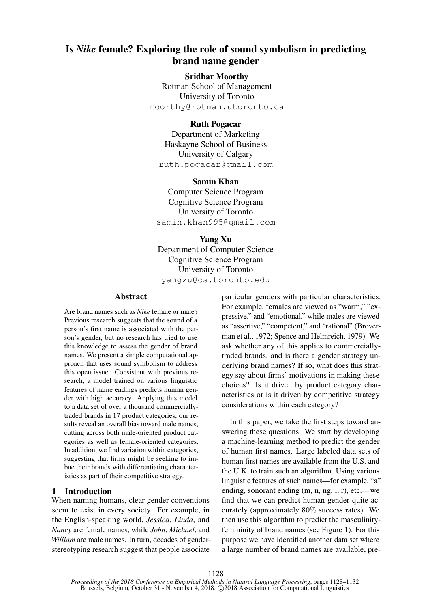# Is *Nike* female? Exploring the role of sound symbolism in predicting brand name gender

# Sridhar Moorthy

Rotman School of Management University of Toronto moorthy@rotman.utoronto.ca

# Ruth Pogacar

Department of Marketing Haskayne School of Business University of Calgary ruth.pogacar@gmail.com

Samin Khan Computer Science Program Cognitive Science Program University of Toronto samin.khan995@gmail.com

Yang Xu Department of Computer Science Cognitive Science Program University of Toronto yangxu@cs.toronto.edu

### Abstract

Are brand names such as *Nike* female or male? Previous research suggests that the sound of a person's first name is associated with the person's gender, but no research has tried to use this knowledge to assess the gender of brand names. We present a simple computational approach that uses sound symbolism to address this open issue. Consistent with previous research, a model trained on various linguistic features of name endings predicts human gender with high accuracy. Applying this model to a data set of over a thousand commerciallytraded brands in 17 product categories, our results reveal an overall bias toward male names, cutting across both male-oriented product categories as well as female-oriented categories. In addition, we find variation within categories, suggesting that firms might be seeking to imbue their brands with differentiating characteristics as part of their competitive strategy.

# 1 Introduction

When naming humans, clear gender conventions seem to exist in every society. For example, in the English-speaking world, *Jessica*, *Linda*, and *Nancy* are female names, while *John*, *Michael*, and *William* are male names. In turn, decades of genderstereotyping research suggest that people associate

particular genders with particular characteristics. For example, females are viewed as "warm," "expressive," and "emotional," while males are viewed as "assertive," "competent," and "rational" (Broverman et al., 1972; Spence and Helmreich, 1979). We ask whether any of this applies to commerciallytraded brands, and is there a gender strategy underlying brand names? If so, what does this strategy say about firms' motivations in making these choices? Is it driven by product category characteristics or is it driven by competitive strategy considerations within each category?

In this paper, we take the first steps toward answering these questions. We start by developing a machine-learning method to predict the gender of human first names. Large labeled data sets of human first names are available from the U.S. and the U.K. to train such an algorithm. Using various linguistic features of such names—for example, "a" ending, sonorant ending (m, n, ng, l, r), etc.—we find that we can predict human gender quite accurately (approximately 80% success rates). We then use this algorithm to predict the masculinityfemininity of brand names (see Figure 1). For this purpose we have identified another data set where a large number of brand names are available, pre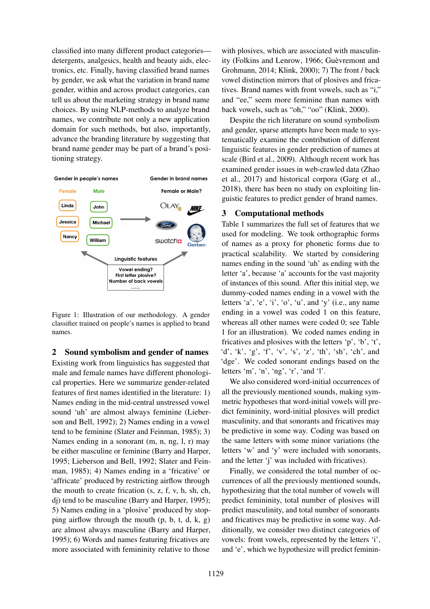classified into many different product categories detergents, analgesics, health and beauty aids, electronics, etc. Finally, having classified brand names by gender, we ask what the variation in brand name gender, within and across product categories, can tell us about the marketing strategy in brand name choices. By using NLP-methods to analyze brand names, we contribute not only a new application domain for such methods, but also, importantly, advance the branding literature by suggesting that brand name gender may be part of a brand's positioning strategy.



Figure 1: Illustration of our methodology. A gender classifier trained on people's names is applied to brand names.

### 2 Sound symbolism and gender of names

Existing work from linguistics has suggested that male and female names have different phonological properties. Here we summarize gender-related features of first names identified in the literature: 1) Names ending in the mid-central unstressed vowel sound 'uh' are almost always feminine (Lieberson and Bell, 1992); 2) Names ending in a vowel tend to be feminine (Slater and Feinman, 1985); 3) Names ending in a sonorant (m, n, ng, l, r) may be either masculine or feminine (Barry and Harper, 1995; Lieberson and Bell, 1992; Slater and Feinman, 1985); 4) Names ending in a 'fricative' or 'affricate' produced by restricting airflow through the mouth to create frication (s, z, f, v, h, sh, ch, dj) tend to be masculine (Barry and Harper, 1995); 5) Names ending in a 'plosive' produced by stopping airflow through the mouth (p, b, t, d, k, g) are almost always masculine (Barry and Harper, 1995); 6) Words and names featuring fricatives are more associated with femininity relative to those with plosives, which are associated with masculinity (Folkins and Lenrow, 1966; Guèvremont and Grohmann, 2014; Klink, 2000); 7) The front / back vowel distinction mirrors that of plosives and fricatives. Brand names with front vowels, such as "i," and "ee," seem more feminine than names with back vowels, such as "oh," "oo" (Klink, 2000).

Despite the rich literature on sound symbolism and gender, sparse attempts have been made to systematically examine the contribution of different linguistic features in gender prediction of names at scale (Bird et al., 2009). Although recent work has examined gender issues in web-crawled data (Zhao et al., 2017) and historical corpora (Garg et al., 2018), there has been no study on exploiting linguistic features to predict gender of brand names.

#### 3 Computational methods

Table 1 summarizes the full set of features that we used for modeling. We took orthographic forms of names as a proxy for phonetic forms due to practical scalability. We started by considering names ending in the sound 'uh' as ending with the letter 'a', because 'a' accounts for the vast majority of instances of this sound. After this initial step, we dummy-coded names ending in a vowel with the letters  $a', b', i', b', u',$  and  $y'$  (i.e., any name ending in a vowel was coded 1 on this feature, whereas all other names were coded 0; see Table 1 for an illustration). We coded names ending in fricatives and plosives with the letters 'p', 'b', 't', 'd', 'k', 'g', 'f', 'v', 's', 'z', 'th', 'sh', 'ch', and 'dge'. We coded sonorant endings based on the letters 'm', 'n', 'ng', 'r', 'and 'l'.

We also considered word-initial occurrences of all the previously mentioned sounds, making symmetric hypotheses that word-initial vowels will predict femininity, word-initial plosives will predict masculinity, and that sonorants and fricatives may be predictive in some way. Coding was based on the same letters with some minor variations (the letters 'w' and 'y' were included with sonorants, and the letter 'j' was included with fricatives).

Finally, we considered the total number of occurrences of all the previously mentioned sounds, hypothesizing that the total number of vowels will predict femininity, total number of plosives will predict masculinity, and total number of sonorants and fricatives may be predictive in some way. Additionally, we consider two distinct categories of vowels: front vowels, represented by the letters 'i', and 'e', which we hypothesize will predict feminin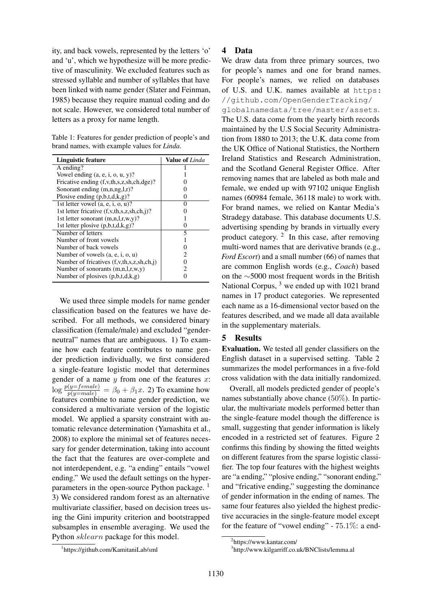ity, and back vowels, represented by the letters 'o' and 'u', which we hypothesize will be more predictive of masculinity. We excluded features such as stressed syllable and number of syllables that have been linked with name gender (Slater and Feinman, 1985) because they require manual coding and do not scale. However, we considered total number of letters as a proxy for name length.

Table 1: Features for gender prediction of people's and brand names, with example values for *Linda*.

| Linguistic feature                               | <b>Value of</b> Linda |
|--------------------------------------------------|-----------------------|
| A ending?                                        |                       |
| Vowel ending $(a, e, i, o, u, y)$ ?              |                       |
| Fricative ending (f,v,th,s,z,sh,ch,dge)?         |                       |
| Sonorant ending $(m,n,ng,l,r)$ ?                 |                       |
| Plosive ending $(p,b,t,d,k,g)$ ?                 |                       |
| 1st letter vowel $(a, e, i, o, u)$ ?             |                       |
| 1st letter fricative (f,v,th,s,z,sh,ch,j)?       |                       |
| 1st letter sonorant $(m,n,l,r,w,y)$ ?            |                       |
| 1st letter plosive $(p,b,t,d,k,g)$ ?             |                       |
| Number of letters                                | 5                     |
| Number of front vowels                           |                       |
| Number of back yowels                            |                       |
| Number of vowels $(a, e, i, o, u)$               | 7                     |
| Number of fricatives (f, v, th, s, z, sh, ch, j) |                       |
| Number of sonorants $(m,n,l,r,w,y)$              | 2                     |
| Number of plosives $(p,b,t,d,k,g)$               |                       |

We used three simple models for name gender classification based on the features we have described. For all methods, we considered binary classification (female/male) and excluded "genderneutral" names that are ambiguous. 1) To examine how each feature contributes to name gender prediction individually, we first considered a single-feature logistic model that determines gender of a name  $y$  from one of the features  $x$ :  $\log \frac{p(y=female)}{p(y=male)} = \beta_0 + \beta_1 x$ . 2) To examine how features combine to name gender prediction, we considered a multivariate version of the logistic model. We applied a sparsity constraint with automatic relevance determination (Yamashita et al., 2008) to explore the minimal set of features necessary for gender determination, taking into account the fact that the features are over-complete and not interdependent, e.g. "a ending" entails "vowel ending." We used the default settings on the hyperparameters in the open-source Python package.<sup>1</sup> 3) We considered random forest as an alternative multivariate classifier, based on decision trees using the Gini impurity criterion and bootstrapped subsamples in ensemble averaging. We used the Python sklearn package for this model.

#### 4 Data

We draw data from three primary sources, two for people's names and one for brand names. For people's names, we relied on databases of U.S. and U.K. names available at https: //github.com/OpenGenderTracking/ globalnamedata/tree/master/assets.

The U.S. data come from the yearly birth records maintained by the U.S Social Security Administration from 1880 to 2013; the U.K. data come from the UK Office of National Statistics, the Northern Ireland Statistics and Research Administration, and the Scotland General Register Office. After removing names that are labeled as both male and female, we ended up with 97102 unique English names (60984 female, 36118 male) to work with. For brand names, we relied on Kantar Media's Stradegy database. This database documents U.S. advertising spending by brands in virtually every product category.  $2$  In this case, after removing multi-word names that are derivative brands (e.g., *Ford Escort*) and a small number (66) of names that are common English words (e.g., *Coach*) based on the ∼5000 most frequent words in the British National Corpus,  $3$  we ended up with 1021 brand names in 17 product categories. We represented each name as a 16-dimensional vector based on the features described, and we made all data available in the supplementary materials.

# 5 Results

Evaluation. We tested all gender classifiers on the English dataset in a supervised setting. Table 2 summarizes the model performances in a five-fold cross validation with the data initially randomized.

Overall, all models predicted gender of people's names substantially above chance (50%). In particular, the multivariate models performed better than the single-feature model though the difference is small, suggesting that gender information is likely encoded in a restricted set of features. Figure 2 confirms this finding by showing the fitted weights on different features from the sparse logistic classifier. The top four features with the highest weights are "a ending," "plosive ending," "sonorant ending," and "fricative ending," suggesting the dominance of gender information in the ending of names. The same four features also yielded the highest predictive accuracies in the single-feature model except for the feature of "vowel ending" - 75.1%: a end-

<sup>2</sup> https://www.kantar.com/

<sup>3</sup> http://www.kilgarriff.co.uk/BNClists/lemma.al

<sup>1</sup> https://github.com/KamitaniLab/sml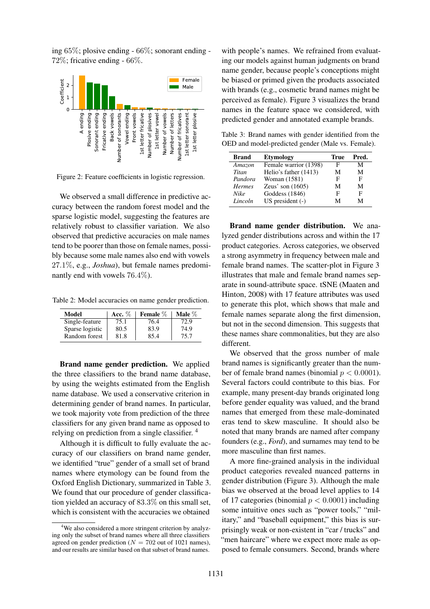ing 65%; plosive ending - 66%; sonorant ending - 72%; fricative ending - 66%.



Figure 2: Feature coefficients in logistic regression.

We observed a small difference in predictive accuracy between the random forest model and the sparse logistic model, suggesting the features are relatively robust to classifier variation. We also observed that predictive accuracies on male names tend to be poorer than those on female names, possibly because some male names also end with vowels 27.1%, e.g., *Joshua*), but female names predominantly end with vowels 76.4%).

Table 2: Model accuracies on name gender prediction.

| Model           | Acc. $\%$ | Female $%$ | Male $\%$ |
|-----------------|-----------|------------|-----------|
| Single-feature  | 75.1      | 76.4       | (2.9)     |
| Sparse logistic | 80.5      | 83.9       | 74.9      |
| Random forest   | 81.8      | 85.4       | 75.7      |

Brand name gender prediction. We applied the three classifiers to the brand name database, by using the weights estimated from the English name database. We used a conservative criterion in determining gender of brand names. In particular, we took majority vote from prediction of the three classifiers for any given brand name as opposed to relying on prediction from a single classifier. <sup>4</sup>

Although it is difficult to fully evaluate the accuracy of our classifiers on brand name gender, we identified "true" gender of a small set of brand names where etymology can be found from the Oxford English Dictionary, summarized in Table 3. We found that our procedure of gender classification yielded an accuracy of 83.3% on this small set, which is consistent with the accuracies we obtained

with people's names. We refrained from evaluating our models against human judgments on brand name gender, because people's conceptions might be biased or primed given the products associated with brands (e.g., cosmetic brand names might be perceived as female). Figure 3 visualizes the brand names in the feature space we considered, with predicted gender and annotated example brands.

Table 3: Brand names with gender identified from the OED and model-predicted gender (Male vs. Female).

| <b>Brand</b>  | Etymology             | True | Pred. |
|---------------|-----------------------|------|-------|
| Amazon        | Female warrior (1398) | F    | М     |
| Titan         | Helio's father (1413) | М    | М     |
| Pandora       | Woman (1581)          | F    | F     |
| <b>Hermes</b> | Zeus' son $(1605)$    | М    | М     |
| Nike          | Goddess (1846)        | F    | F     |
| Lincoln       | $US$ president $(-)$  | М    | М     |

Brand name gender distribution. We analyzed gender distributions across and within the 17 product categories. Across categories, we observed a strong asymmetry in frequency between male and female brand names. The scatter-plot in Figure 3 illustrates that male and female brand names separate in sound-attribute space. tSNE (Maaten and Hinton, 2008) with 17 feature attributes was used to generate this plot, which shows that male and female names separate along the first dimension, but not in the second dimension. This suggests that these names share commonalities, but they are also different.

We observed that the gross number of male brand names is significantly greater than the number of female brand names (binomial  $p < 0.0001$ ). Several factors could contribute to this bias. For example, many present-day brands originated long before gender equality was valued, and the brand names that emerged from these male-dominated eras tend to skew masculine. It should also be noted that many brands are named after company founders (e.g., *Ford*), and surnames may tend to be more masculine than first names.

A more fine-grained analysis in the individual product categories revealed nuanced patterns in gender distribution (Figure 3). Although the male bias we observed at the broad level applies to 14 of 17 categories (binomial  $p < 0.0001$ ) including some intuitive ones such as "power tools," "military," and "baseball equipment," this bias is surprisingly weak or non-existent in "car / trucks" and "men haircare" where we expect more male as opposed to female consumers. Second, brands where

<sup>&</sup>lt;sup>4</sup>We also considered a more stringent criterion by analyzing only the subset of brand names where all three classifiers agreed on gender prediction ( $N = 702$  out of 1021 names), and our results are similar based on that subset of brand names.